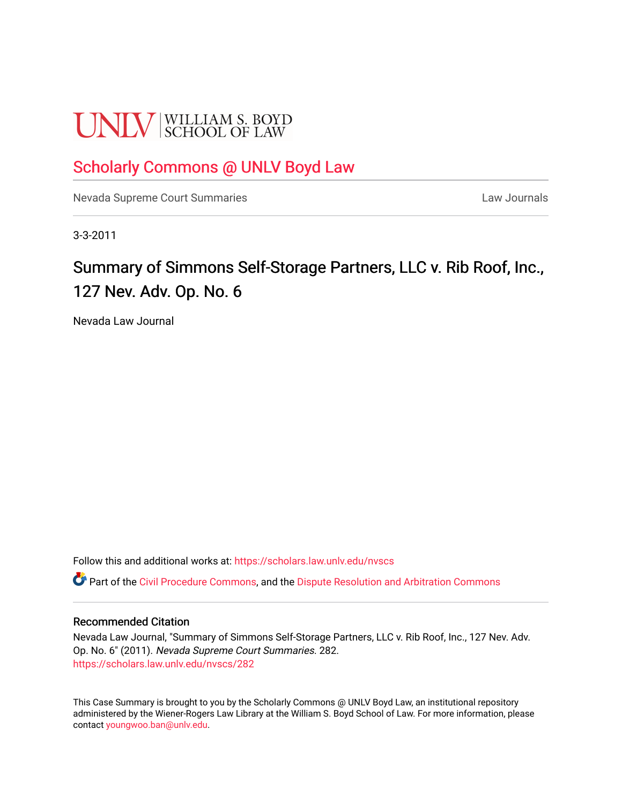# **UNLV** SCHOOL OF LAW

### [Scholarly Commons @ UNLV Boyd Law](https://scholars.law.unlv.edu/)

[Nevada Supreme Court Summaries](https://scholars.law.unlv.edu/nvscs) **Law Journals** Law Journals

3-3-2011

## Summary of Simmons Self-Storage Partners, LLC v. Rib Roof, Inc., 127 Nev. Adv. Op. No. 6

Nevada Law Journal

Follow this and additional works at: [https://scholars.law.unlv.edu/nvscs](https://scholars.law.unlv.edu/nvscs?utm_source=scholars.law.unlv.edu%2Fnvscs%2F282&utm_medium=PDF&utm_campaign=PDFCoverPages)

Part of the [Civil Procedure Commons,](http://network.bepress.com/hgg/discipline/584?utm_source=scholars.law.unlv.edu%2Fnvscs%2F282&utm_medium=PDF&utm_campaign=PDFCoverPages) and the [Dispute Resolution and Arbitration Commons](http://network.bepress.com/hgg/discipline/890?utm_source=scholars.law.unlv.edu%2Fnvscs%2F282&utm_medium=PDF&utm_campaign=PDFCoverPages) 

#### Recommended Citation

Nevada Law Journal, "Summary of Simmons Self-Storage Partners, LLC v. Rib Roof, Inc., 127 Nev. Adv. Op. No. 6" (2011). Nevada Supreme Court Summaries. 282. [https://scholars.law.unlv.edu/nvscs/282](https://scholars.law.unlv.edu/nvscs/282?utm_source=scholars.law.unlv.edu%2Fnvscs%2F282&utm_medium=PDF&utm_campaign=PDFCoverPages)

This Case Summary is brought to you by the Scholarly Commons @ UNLV Boyd Law, an institutional repository administered by the Wiener-Rogers Law Library at the William S. Boyd School of Law. For more information, please contact [youngwoo.ban@unlv.edu](mailto:youngwoo.ban@unlv.edu).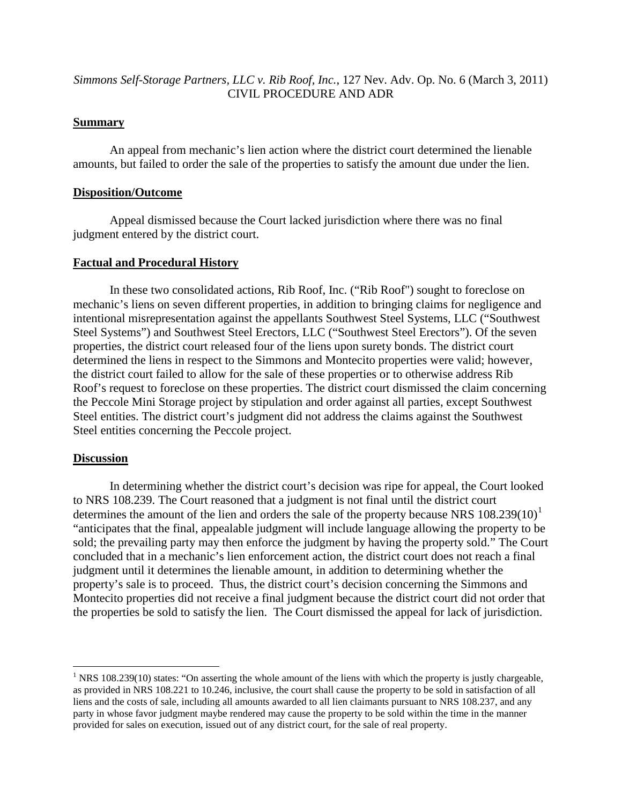#### *Simmons Self-Storage Partners, LLC v. Rib Roof, Inc.*, 127 Nev. Adv. Op. No. 6 (March 3, 2011) CIVIL PROCEDURE AND ADR

#### **Summary**

An appeal from mechanic's lien action where the district court determined the lienable amounts, but failed to order the sale of the properties to satisfy the amount due under the lien.

#### **Disposition/Outcome**

Appeal dismissed because the Court lacked jurisdiction where there was no final judgment entered by the district court.

#### **Factual and Procedural History**

In these two consolidated actions, Rib Roof, Inc. ("Rib Roof") sought to foreclose on mechanic's liens on seven different properties, in addition to bringing claims for negligence and intentional misrepresentation against the appellants Southwest Steel Systems, LLC ("Southwest Steel Systems") and Southwest Steel Erectors, LLC ("Southwest Steel Erectors"). Of the seven properties, the district court released four of the liens upon surety bonds. The district court determined the liens in respect to the Simmons and Montecito properties were valid; however, the district court failed to allow for the sale of these properties or to otherwise address Rib Roof's request to foreclose on these properties. The district court dismissed the claim concerning the Peccole Mini Storage project by stipulation and order against all parties, except Southwest Steel entities. The district court's judgment did not address the claims against the Southwest Steel entities concerning the Peccole project.

#### **Discussion**

In determining whether the district court's decision was ripe for appeal, the Court looked to NRS 108.239. The Court reasoned that a judgment is not final until the district court determines the amount of the lien and orders the sale of the property because NRS  $108.239(10)^1$  $108.239(10)^1$ "anticipates that the final, appealable judgment will include language allowing the property to be sold; the prevailing party may then enforce the judgment by having the property sold." The Court concluded that in a mechanic's lien enforcement action, the district court does not reach a final judgment until it determines the lienable amount, in addition to determining whether the property's sale is to proceed. Thus, the district court's decision concerning the Simmons and Montecito properties did not receive a final judgment because the district court did not order that the properties be sold to satisfy the lien. The Court dismissed the appeal for lack of jurisdiction.

<span id="page-1-0"></span><sup>&</sup>lt;sup>1</sup> NRS 108.239(10) states: "On asserting the whole amount of the liens with which the property is justly chargeable, as provided in NRS 108.221 to 10.246, inclusive, the court shall cause the property to be sold in satisfaction of all liens and the costs of sale, including all amounts awarded to all lien claimants pursuant to NRS 108.237, and any party in whose favor judgment maybe rendered may cause the property to be sold within the time in the manner provided for sales on execution, issued out of any district court, for the sale of real property.